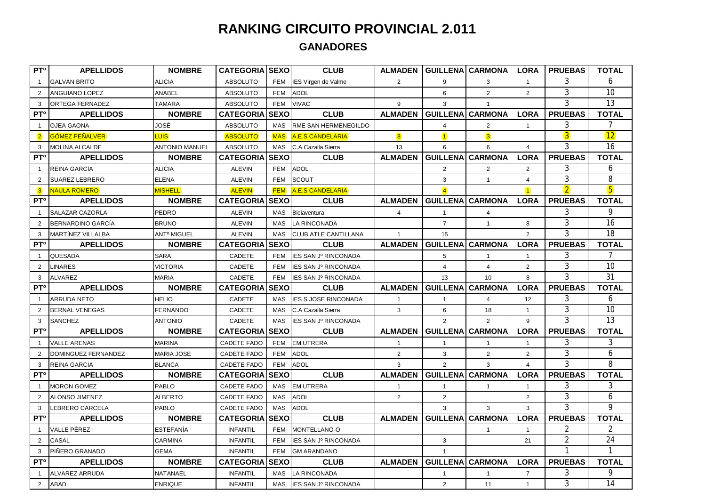## **RANKING CIRCUITO PROVINCIAL 2.011 GANADORES**

| <b>PT<sup>o</sup></b> | <b>APELLIDOS</b>       | <b>NOMBRE</b>                 | <b>CATEGORIA SEXOI</b> |             | <b>CLUB</b>                 |                |                          | ALMADEN GUILLENA CARMONAL LORA |                | <b>PRUEBAS</b> | <b>TOTAL</b>    |
|-----------------------|------------------------|-------------------------------|------------------------|-------------|-----------------------------|----------------|--------------------------|--------------------------------|----------------|----------------|-----------------|
|                       | 1 GALVÁN BRITO         | <b>ALICIA</b>                 | <b>ABSOLUTO</b>        |             | FEM IES Virgen de Valme     | $\overline{2}$ | 9                        | 3                              | $\mathbf{1}$   | 3              | 6               |
|                       | 2 ANGUIANO LOPEZ       | ANABEL                        | <b>ABSOLUTO</b>        | <b>FEM</b>  | <b>ADOL</b>                 |                | 6                        | $\overline{2}$                 | $\overline{2}$ | 3              | 10              |
| 3                     | <b>ORTEGA FERNADEZ</b> | <b>TAMARA</b>                 | <b>ABSOLUTO</b>        | <b>FEM</b>  | <b>VIVAC</b>                | 9              | 3                        | $\mathbf{1}$                   |                | 3              | 13              |
| <b>PT<sup>o</sup></b> | <b>APELLIDOS</b>       | <b>NOMBRE</b>                 | <b>CATEGORIA</b>       | <b>SEXO</b> | <b>CLUB</b>                 | <b>ALMADEN</b> | <b>GUILLENAI CARMONA</b> |                                | <b>LORA</b>    | <b>PRUEBAS</b> | <b>TOTAL</b>    |
| 1                     | <b>OJEA GAONA</b>      | JOSÉ                          | <b>ABSOLUTO</b>        | <b>MAS</b>  | RME SAN HERMENEGILDO        |                | 4                        | 2                              | $\mathbf{1}$   | 3              | 7               |
|                       | <b>GÓMEZ PEÑALVER</b>  | <b>UIS</b>                    | <b>ABSOLUTO</b>        | <b>MAS</b>  | A.E.S CANDELARIA            | $\mathbf{8}$   | $\blacksquare$           | $\mathbf{3}$                   |                | $\overline{3}$ | $\boxed{12}$    |
| 3                     | <b>MOLINA ALCALDE</b>  | <b>ANTONIO MANUEL</b>         | <b>ABSOLUTO</b>        | <b>MAS</b>  | C.A Cazalla Sierra          | 13             | 6                        | 6                              | $\overline{4}$ | 3              | 16              |
| <b>PT<sup>o</sup></b> | <b>APELLIDOS</b>       | <b>NOMBRE</b>                 | <b>CATEGORIA</b>       | <b>SEXO</b> | <b>CLUB</b>                 | <b>ALMADEN</b> | <b>GUILLENA</b>          | <b>CARMONA</b>                 | <b>LORA</b>    | <b>PRUEBAS</b> | <b>TOTAL</b>    |
| $\mathbf{1}$          | REINA GARCÍA           | <b>ALICIA</b>                 | <b>ALEVIN</b>          | <b>FEM</b>  | <b>ADOL</b>                 |                | $\overline{2}$           | 2                              | $\overline{2}$ | 3              | 6               |
| 2                     | <b>SUAREZ LEBRERO</b>  | ELENA                         | <b>ALEVIN</b>          | <b>FEM</b>  | <b>SCOUT</b>                |                | 3                        | $\mathbf{1}$                   | 4              | 3              | 8               |
| $\mathbf{3}$          | <b>NAULA ROMERO</b>    | <b>MISHELL</b>                | <b>ALEVIN</b>          | <b>FEM</b>  | <b>A.E.S CANDELARIA</b>     |                | $\overline{4}$           |                                | $\blacksquare$ | $\overline{2}$ | $\overline{5}$  |
| PT <sup>o</sup>       | <b>APELLIDOS</b>       | <b>NOMBRE</b>                 | <b>CATEGORIA</b>       | <b>SEXO</b> | <b>CLUB</b>                 | <b>ALMADEN</b> | <b>GUILLENA</b>          | <b>CARMONA</b>                 | <b>LORA</b>    | <b>PRUEBAS</b> | <b>TOTAL</b>    |
| $\mathbf{1}$          | <b>SALAZAR CAZORLA</b> | <b>PEDRO</b>                  | <b>ALEVIN</b>          | <b>MAS</b>  | Biciaventura                | $\overline{4}$ | 1                        | 4                              |                | 3              | 9               |
| $\overline{2}$        | BERNARDINO GARCÍA      | <b>BRUNO</b>                  | <b>ALEVIN</b>          | MAS         | LA RINCONADA                |                | $\overline{7}$           | $\mathbf{1}$                   | 8              | 3              | 16              |
| 3                     | MARTINEZ VILLALBA      | <b>ANT<sup>o</sup> MIGUEL</b> | <b>ALEVIN</b>          | <b>MAS</b>  | <b>CLUB ATLE CANTILLANA</b> | $\mathbf{1}$   | 15                       |                                | 2              | 3              | 18              |
| <b>PT<sup>o</sup></b> | <b>APELLIDOS</b>       | <b>NOMBRE</b>                 | <b>CATEGORIA</b>       | <b>SEXO</b> | <b>CLUB</b>                 | <b>ALMADEN</b> | <b>GUILLENA</b>          | <b>CARMONA</b>                 | <b>LORA</b>    | <b>PRUEBAS</b> | <b>TOTAL</b>    |
| $\mathbf{1}$          | <b>QUESADA</b>         | <b>SARA</b>                   | CADETE                 | <b>FEM</b>  | <b>IES SAN Jº RINCONADA</b> |                | 5                        | $\mathbf{1}$                   | $\overline{1}$ | 3              |                 |
| $\overline{2}$        | <b>LINARES</b>         | <b>VICTORIA</b>               | CADETE                 | <b>FEM</b>  | <b>IES SAN Jº RINCONADA</b> |                | $\overline{4}$           | $\overline{4}$                 | 2              | 3              | 10              |
| 3                     | <b>ALVAREZ</b>         | <b>MARIA</b>                  | CADETE                 | <b>FEM</b>  | <b>IES SAN Jº RINCONADA</b> |                | 13                       | 10                             | 8              | 3              | 31              |
| PT <sup>o</sup>       | <b>APELLIDOS</b>       | <b>NOMBRE</b>                 | <b>CATEGORIA</b>       | <b>SEXO</b> | <b>CLUB</b>                 | <b>ALMADEN</b> | <b>GUILLENAI CARMONA</b> |                                | <b>LORA</b>    | <b>PRUEBAS</b> | <b>TOTAL</b>    |
|                       | <b>ARRUDA NETO</b>     | <b>HELIO</b>                  | CADETE                 | <b>MAS</b>  | <b>IES S JOSE RINCONADA</b> | $\mathbf{1}$   |                          | 4                              | 12             | 3              | 6               |
| $\overline{2}$        | <b>BERNAL VENEGAS</b>  | <b>FERNANDO</b>               | CADETE                 | <b>MAS</b>  | C.A Cazalla Sierra          | 3              | 6                        | 18                             | $\mathbf{1}$   | 3              | 10              |
| 3                     | <b>SANCHEZ</b>         | ANTONIO                       | CADETE                 | <b>MAS</b>  | <b>IES SAN Jº RINCONADA</b> |                | $\overline{2}$           | 2                              | 9              | 3              | 13              |
| PT <sup>o</sup>       | <b>APELLIDOS</b>       | <b>NOMBRE</b>                 | <b>CATEGORIA</b>       | <b>SEXO</b> | <b>CLUB</b>                 | <b>ALMADEN</b> | <b>GUILLENA</b>          | <b>CARMONA</b>                 | <b>LORA</b>    | <b>PRUEBAS</b> | <b>TOTAL</b>    |
| $\overline{1}$        | <b>VALLE ARENAS</b>    | MARINA                        | CADETE FADO            | <b>FEM</b>  | <b>EM.UTRERA</b>            |                | $\mathbf 1$              | -1                             | $\mathbf{1}$   | 3              | 3               |
| 2                     | DOMINGUEZ FERNANDEZ    | <b>MARIA JOSE</b>             | <b>CADETE FADO</b>     | <b>FEM</b>  | <b>ADOL</b>                 | $\overline{2}$ | 3                        | $\overline{2}$                 | $\overline{2}$ | 3              | 6               |
| 3                     | <b>REINA GARCIA</b>    | <b>BLANCA</b>                 | <b>CADETE FADO</b>     | <b>FEM</b>  | <b>ADOL</b>                 | 3              | $\overline{2}$           | 3                              | $\overline{4}$ | 3              | 8               |
| PT°                   | <b>APELLIDOS</b>       | <b>NOMBRE</b>                 | <b>CATEGORIA</b>       | <b>SEXO</b> | <b>CLUB</b>                 | <b>ALMADEN</b> | GUILLENA CARMONA         |                                | <b>LORA</b>    | <b>PRUEBAS</b> | <b>TOTAL</b>    |
| $\mathbf{1}$          | <b>MORON GOMEZ</b>     | PABLO                         | <b>CADETE FADO</b>     | <b>MAS</b>  | <b>EM.UTRERA</b>            | $\mathbf{1}$   | $\mathbf{1}$             | $\mathbf{1}$                   | $\mathbf{1}$   | 3              | 3               |
| $\overline{2}$        | ALONSO JIMENEZ         | ALBERTO                       | <b>CADETE FADO</b>     | <b>MAS</b>  | <b>ADOL</b>                 | 2              | $\overline{2}$           |                                | 2              | 3              | 6               |
| 3                     | LEBRERO CARCELA        | <b>PABLO</b>                  | <b>CADETE FADO</b>     | <b>MAS</b>  | <b>ADOL</b>                 |                | 3                        | 3                              | 3              | 3              | 9               |
| <b>PT<sup>o</sup></b> | <b>APELLIDOS</b>       | <b>NOMBRE</b>                 | <b>CATEGORIA</b>       | <b>SEXO</b> | <b>CLUB</b>                 | <b>ALMADEN</b> | GUILLENA CARMONA         |                                | <b>LORA</b>    | <b>PRUEBAS</b> | <b>TOTAL</b>    |
| $\mathbf{1}$          | VALLE PÉREZ            | ESTEFANÍA                     | <b>INFANTIL</b>        | <b>FEM</b>  | MONTELLANO-O                |                |                          | $\overline{1}$                 | $\overline{1}$ | 2              | 2               |
| $\overline{2}$        | <b>CASAL</b>           | CARMINA                       | <b>INFANTIL</b>        | <b>FEM</b>  | <b>IES SAN Jº RINCONADA</b> |                | 3                        |                                | 21             | $\overline{2}$ | 24              |
| 3                     | PIÑERO GRANADO         | <b>GEMA</b>                   | <b>INFANTIL</b>        | <b>FEM</b>  | <b>GM ARANDANO</b>          |                | $\mathbf{1}$             |                                |                | 1              | $\mathbf{1}$    |
| PT <sup>o</sup>       | <b>APELLIDOS</b>       | <b>NOMBRE</b>                 | <b>CATEGORIA</b>       | <b>SEXO</b> | <b>CLUB</b>                 | <b>ALMADEN</b> | <b>GUILLENA</b>          | <b>CARMONA</b>                 | <b>LORA</b>    | <b>PRUEBAS</b> | <b>TOTAL</b>    |
| $\mathbf{1}$          | <b>ALVAREZ ARRUDA</b>  | NATANAEL                      | <b>INFANTIL</b>        | <b>MAS</b>  | <b>LA RINCONADA</b>         |                | $\mathbf 1$              | $\overline{1}$                 | $\overline{7}$ | 3              | 9               |
|                       | 2 ABAD                 | <b>ENRIQUE</b>                | <b>INFANTIL</b>        | <b>MAS</b>  | <b>IES SAN Jº RINCONADA</b> |                | $\overline{2}$           | 11                             | $\mathbf{1}$   | 3              | $\overline{14}$ |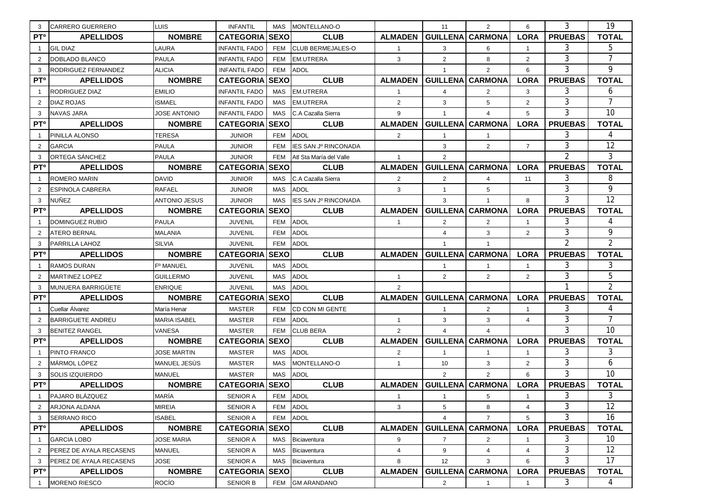|                             |                                |                       |                       |             |                             |                |                 |                         |                | 3              | 19             |
|-----------------------------|--------------------------------|-----------------------|-----------------------|-------------|-----------------------------|----------------|-----------------|-------------------------|----------------|----------------|----------------|
| 3                           | <b>CARRERO GUERRERO</b>        | LUIS                  | <b>INFANTIL</b>       | <b>MAS</b>  | MONTELLANO-O                |                | 11              | $\overline{2}$          | 6              |                |                |
| PT <sup>o</sup>             | <b>APELLIDOS</b>               | <b>NOMBRE</b>         | <b>CATEGORIA</b>      | <b>SEXO</b> | <b>CLUB</b>                 | <b>ALMADEN</b> | <b>GUILLENA</b> | <b>CARMONA</b>          | <b>LORA</b>    | <b>PRUEBAS</b> | <b>TOTAL</b>   |
| $\mathbf{1}$                | <b>GIL DIAZ</b>                | LAURA                 | <b>INFANTIL FADO</b>  | <b>FEM</b>  | <b>CLUB BERMEJALES-O</b>    | $\mathbf{1}$   | 3               | 6                       |                | 3              | 5              |
| $\overline{2}$              | DOBLADO BLANCO                 | <b>PAULA</b>          | <b>INFANTIL FADO</b>  | <b>FEM</b>  | <b>EM.UTRERA</b>            | 3              | $\overline{2}$  | 8                       | 2              | 3              | $\overline{7}$ |
| 3                           | RODRIGUEZ FERNANDEZ            | ALICIA                | <b>INFANTIL FADO</b>  | <b>FEM</b>  | <b>ADOL</b>                 |                |                 | $\overline{2}$          | 6              | 3              | 9              |
| PT <sup>o</sup>             | <b>APELLIDOS</b>               | <b>NOMBRE</b>         | <b>CATEGORIA</b>      | <b>SEXO</b> | <b>CLUB</b>                 | <b>ALMADEN</b> | <b>GUILLENA</b> | <b>CARMONA</b>          | <b>LORA</b>    | <b>PRUEBAS</b> | <b>TOTAL</b>   |
| $\mathbf{1}$                | RODRIGUEZ DIAZ                 | <b>EMILIO</b>         | <b>INFANTIL FADO</b>  | <b>MAS</b>  | <b>EM.UTRERA</b>            | $\overline{1}$ | $\overline{4}$  | $\overline{2}$          | 3              | 3              | 6              |
| 2                           | <b>DIAZ ROJAS</b>              | <b>ISMAEL</b>         | <b>INFANTIL FADO</b>  | <b>MAS</b>  | <b>EM.UTRERA</b>            | $\overline{2}$ | 3               | 5                       | $\overline{2}$ | 3              | $\overline{7}$ |
| 3                           | <b>NAVAS JARA</b>              | <b>JOSE ANTONIO</b>   | <b>INFANTIL FADO</b>  | <b>MAS</b>  | C.A Cazalla Sierra          | 9              | $\overline{1}$  | $\overline{4}$          | 5              | 3              | 10             |
| PT <sup>o</sup>             | <b>APELLIDOS</b>               | <b>NOMBRE</b>         | <b>CATEGORIA</b>      | <b>SEXO</b> | <b>CLUB</b>                 | <b>ALMADEN</b> | <b>GUILLENA</b> | <b>CARMONA</b>          | <b>LORA</b>    | <b>PRUEBAS</b> | <b>TOTAL</b>   |
| $\mathbf{1}$                | PINILLA ALONSO                 | <b>TERESA</b>         | <b>JUNIOR</b>         | <b>FEM</b>  | <b>ADOL</b>                 | $\overline{2}$ | $\overline{1}$  | $\mathbf{1}$            |                | 3              | 4              |
| 2                           | <b>GARCIA</b>                  | <b>PAULA</b>          | <b>JUNIOR</b>         | <b>FEM</b>  | <b>IES SAN Jº RINCONADA</b> |                | 3               | $\overline{2}$          | $\overline{7}$ | 3              | 12             |
| 3                           | ORTEGA SÁNCHEZ                 | <b>PAULA</b>          | <b>JUNIOR</b>         | <b>FEM</b>  | Atl Sta María del Valle     | $\overline{1}$ | 2               |                         |                | 2              | 3              |
| PT <sup>o</sup>             | <b>APELLIDOS</b>               | <b>NOMBRE</b>         | <b>CATEGORIA</b>      | <b>SEXO</b> | <b>CLUB</b>                 | <b>ALMADEN</b> | <b>GUILLENA</b> | <b>CARMONA</b>          | <b>LORA</b>    | <b>PRUEBAS</b> | <b>TOTAL</b>   |
| $\mathbf{1}$                | <b>ROMERO MARIN</b>            | <b>DAVID</b>          | <b>JUNIOR</b>         | <b>MAS</b>  | C.A Cazalla Sierra          | $\overline{2}$ | $\overline{2}$  | $\overline{4}$          | 11             | 3              | 8              |
| 2                           | <b>ESPINOLA CABRERA</b>        | RAFAEL                | <b>JUNIOR</b>         | <b>MAS</b>  | <b>ADOL</b>                 | 3              | $\overline{1}$  | 5                       |                | 3              | 9              |
| 3                           | <b>NUÑEZ</b>                   | <b>ANTONIO JESUS</b>  | <b>JUNIOR</b>         | <b>MAS</b>  | <b>IES SAN Jº RINCONADA</b> |                | 3               | $\overline{1}$          | 8              | 3              | 12             |
| <b>PT<sup>o</sup></b>       | <b>APELLIDOS</b>               | <b>NOMBRE</b>         | <b>CATEGORIA</b>      | <b>SEXO</b> | <b>CLUB</b>                 | <b>ALMADEN</b> | <b>GUILLENA</b> | <b>CARMONA</b>          | <b>LORA</b>    | <b>PRUEBAS</b> | <b>TOTAL</b>   |
|                             | DOMINGUEZ RUBIO                | <b>PAULA</b>          | <b>JUVENIL</b>        | <b>FEM</b>  | <b>ADOL</b>                 | $\overline{1}$ | $\overline{2}$  | $\overline{2}$          | 1              | 3              | 4              |
| 2                           | <b>ATERO BERNAL</b>            | <b>MALANIA</b>        | <b>JUVENIL</b>        | <b>FEM</b>  | <b>ADOL</b>                 |                | 4               | 3                       | $\overline{2}$ | 3              | 9              |
| 3                           | <b>PARRILLA LAHOZ</b>          | <b>SILVIA</b>         | <b>JUVENIL</b>        | <b>FEM</b>  | <b>ADOL</b>                 |                | $\overline{1}$  | $\overline{1}$          |                | $\overline{2}$ | $\overline{2}$ |
| P <sub>T</sub> <sup>o</sup> | <b>APELLIDOS</b>               | <b>NOMBRE</b>         | <b>CATEGORIA</b>      | <b>SEXO</b> | <b>CLUB</b>                 | <b>ALMADEN</b> | <b>GUILLENA</b> | <b>CARMONA</b>          | <b>LORA</b>    | <b>PRUEBAS</b> | <b>TOTAL</b>   |
| $\mathbf{1}$                | <b>RAMOS DURAN</b>             | F <sup>o</sup> MANUEL | <b>JUVENIL</b>        | <b>MAS</b>  | <b>ADOL</b>                 |                | $\overline{1}$  | 1                       | $\mathbf{1}$   | 3              | 3              |
| 2                           | <b>MARTINEZ LOPEZ</b>          | <b>GUILLERMO</b>      | <b>JUVENIL</b>        | <b>MAS</b>  | <b>ADOL</b>                 | $\overline{1}$ | $\overline{2}$  | $\overline{2}$          | 2              | 3              | 5              |
| 3                           | MUNUERA BARRIGÜETE             | <b>ENRIQUE</b>        | <b>JUVENIL</b>        | <b>MAS</b>  | <b>ADOL</b>                 | $\overline{2}$ |                 |                         |                | -1             | $\overline{2}$ |
| PT <sup>o</sup>             | <b>APELLIDOS</b>               | <b>NOMBRE</b>         | <b>CATEGORIA</b>      | <b>SEXO</b> | <b>CLUB</b>                 | <b>ALMADEN</b> | <b>GUILLENA</b> | <b>CARMONA</b>          | <b>LORA</b>    | <b>PRUEBAS</b> | <b>TOTAL</b>   |
| $\mathbf{1}$                | Cuellar Álvarez                | María Henar           | <b>MASTER</b>         | <b>FEM</b>  | <b>CD CON MI GENTE</b>      |                | $\overline{1}$  | $\overline{2}$          | $\mathbf{1}$   | 3              | 4              |
| 2                           | <b>BARRIGUETE ANDREU</b>       | <b>MARIA ISABEL</b>   | <b>MASTER</b>         | <b>FEM</b>  | <b>ADOL</b>                 | $\overline{1}$ | 3               | 3                       | 4              | 3              | $\overline{7}$ |
| 3                           | <b>BENITEZ RANGEL</b>          | VANESA                | <b>MASTER</b>         | <b>FEM</b>  | <b>CLUB BERA</b>            | $\overline{2}$ | $\overline{4}$  | $\overline{4}$          |                | 3              | 10             |
| P <sub>T</sub> <sup>o</sup> | <b>APELLIDOS</b>               | <b>NOMBRE</b>         | <b>CATEGORIA</b>      | <b>SEXO</b> | <b>CLUB</b>                 | <b>ALMADEN</b> | <b>GUILLENA</b> | <b>CARMONA</b>          | <b>LORA</b>    | <b>PRUEBAS</b> | <b>TOTAL</b>   |
| $\mathbf{1}$                | PINTO FRANCO                   | <b>JOSE MARTIN</b>    | <b>MASTER</b>         | <b>MAS</b>  | <b>ADOL</b>                 | $\overline{2}$ | $\mathbf{1}$    | 1                       | 1              | 3              | 3              |
| 2                           | MÁRMOL LÓPEZ                   | MANUEL JESÚS          | <b>MASTER</b>         | <b>MAS</b>  | MONTELLANO-O                | $\overline{1}$ | 10              | 3                       | 2              | 3              | 6              |
| 3                           | <b>SOLIS IZQUIERDO</b>         | <b>MANUEL</b>         | <b>MASTER</b>         | MAS         | <b>ADOL</b>                 |                | $\overline{2}$  | $\overline{2}$          | 6              | 3              | 10             |
| PT <sup>o</sup>             | <b>APELLIDOS</b>               | <b>NOMBRE</b>         | <b>CATEGORIA</b>      | <b>SEXO</b> | <b>CLUB</b>                 | <b>ALMADEN</b> | <b>GUILLENA</b> | <b>CARMONA</b>          | <b>LORA</b>    | <b>PRUEBAS</b> | <b>TOTAL</b>   |
|                             | PAJARO BLÁZQUEZ                | MARÍA                 | <b>SENIOR A</b>       | FEM ADOL    |                             |                | 1               | $5\phantom{.0}$         |                | $\mathbf{3}$   | 3 <sup>1</sup> |
| $\overline{2}$              | ARJONA ALDANA                  | <b>MIREIA</b>         | <b>SENIOR A</b>       | FEM         | <b>ADOL</b>                 | 3              | 5               | 8                       | 4              | 3              | 12             |
| 3                           | <b>SERRANO RICO</b>            | <b>ISABEL</b>         | <b>SENIOR A</b>       | FEM         | <b>ADOL</b>                 |                | 4               | $7^{\circ}$             | 5              | 3              | 16             |
| <b>PT<sup>o</sup></b>       | <b>APELLIDOS</b>               | <b>NOMBRE</b>         | <b>CATEGORIA SEXO</b> |             | <b>CLUB</b>                 | <b>ALMADEN</b> |                 | <b>GUILLENA CARMONA</b> | <b>LORA</b>    | <b>PRUEBAS</b> | <b>TOTAL</b>   |
| $\overline{1}$              | <b>GARCIA LOBO</b>             | <b>JOSE MARIA</b>     | <b>SENIOR A</b>       | MAS         | Biciaventura                | 9              | $\overline{7}$  | $\overline{2}$          | $\mathbf{1}$   | 3              | 10             |
| $\overline{2}$              | <b>PEREZ DE AYALA RECASENS</b> | MANUEL                | <b>SENIOR A</b>       | MAS         | Biciaventura                | 4              | 9               | $\overline{4}$          | 4              | 3              | 12             |
| 3                           | PEREZ DE AYALA RECASENS        | JOSE                  | <b>SENIOR A</b>       | MAS         | Biciaventura                | 8              | 12              | 3                       | 6              | 3              | 17             |
| PT <sup>o</sup>             | <b>APELLIDOS</b>               | <b>NOMBRE</b>         | <b>CATEGORIA SEXO</b> |             | <b>CLUB</b>                 | <b>ALMADEN</b> | <b>GUILLENA</b> | <b>CARMONA</b>          | <b>LORA</b>    | <b>PRUEBAS</b> | <b>TOTAL</b>   |
| $\overline{1}$              | <b>MORENO RIESCO</b>           | <b>ROCIO</b>          | <b>SENIOR B</b>       | FEM         | <b>GM ARANDANO</b>          |                | $\overline{2}$  | $\mathbf{1}$            | $\mathbf{1}$   | 3              | 4              |